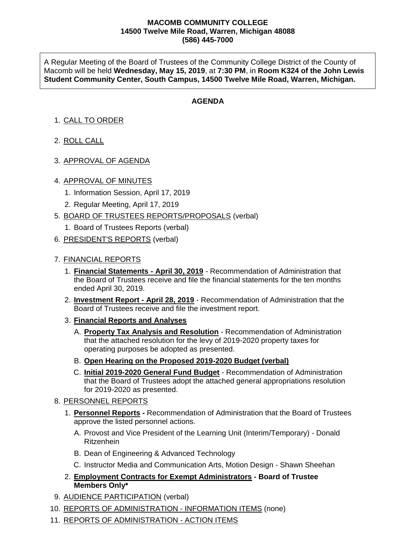## **MACOMB COMMUNITY COLLEGE 14500 Twelve Mile Road, Warren, Michigan 48088 (586) 445-7000**

A Regular Meeting of the Board of Trustees of the Community College District of the County of Macomb will be held **Wednesday, May 15, 2019**, at **7:30 PM**, in **Room K324 of the John Lewis Student Community Center, South Campus, 14500 Twelve Mile Road, Warren, Michigan.**

## **AGENDA**

## 1. CALL TO ORDER

- 2. ROLL CALL
- 3. APPROVAL OF AGENDA
- 4. APPROVAL OF MINUTES
	- 1. Information Session, April 17, 2019
	- 2. Regular Meeting, April 17, 2019
- 5. BOARD OF TRUSTEES REPORTS/PROPOSALS (verbal)
	- 1. Board of Trustees Reports (verbal)
- 6. PRESIDENT'S REPORTS (verbal)
- 7. FINANCIAL REPORTS
	- 1. **Financial Statements - April 30, 2019** Recommendation of Administration that the Board of Trustees receive and file the financial statements for the ten months ended April 30, 2019.
	- 2. **Investment Report - April 28, 2019** Recommendation of Administration that the Board of Trustees receive and file the investment report.
	- 3. **Financial Reports and Analyses**
		- A. **Property Tax Analysis and Resolution** Recommendation of Administration that the attached resolution for the levy of 2019-2020 property taxes for operating purposes be adopted as presented.
		- B. **Open Hearing on the Proposed 2019-2020 Budget (verbal)**
		- C. **Initial 2019-2020 General Fund Budget** Recommendation of Administration that the Board of Trustees adopt the attached general appropriations resolution for 2019-2020 as presented.
- 8. PERSONNEL REPORTS
	- 1. **Personnel Reports -** Recommendation of Administration that the Board of Trustees approve the listed personnel actions.
		- A. Provost and Vice President of the Learning Unit (Interim/Temporary) Donald Ritzenhein
		- B. Dean of Engineering & Advanced Technology
		- C. Instructor Media and Communication Arts, Motion Design Shawn Sheehan
	- 2. **Employment Contracts for Exempt Administrators - Board of Trustee Members Only\***
- 9. AUDIENCE PARTICIPATION (verbal)
- 10. REPORTS OF ADMINISTRATION INFORMATION ITEMS (none)
- 11. REPORTS OF ADMINISTRATION ACTION ITEMS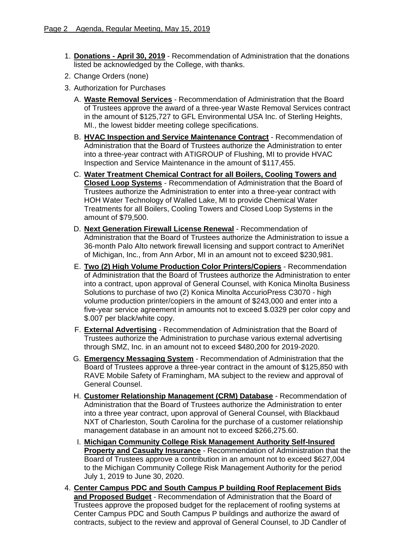- 1. **Donations - April 30, 2019** Recommendation of Administration that the donations listed be acknowledged by the College, with thanks.
- 2. Change Orders (none)
- 3. Authorization for Purchases
	- A. **Waste Removal Services** Recommendation of Administration that the Board of Trustees approve the award of a three-year Waste Removal Services contract in the amount of \$125,727 to GFL Environmental USA Inc. of Sterling Heights, MI., the lowest bidder meeting college specifications.
	- B. **HVAC Inspection and Service Maintenance Contract** Recommendation of Administration that the Board of Trustees authorize the Administration to enter into a three-year contract with ATIGROUP of Flushing, MI to provide HVAC Inspection and Service Maintenance in the amount of \$117,455.
	- C. **Water Treatment Chemical Contract for all Boilers, Cooling Towers and Closed Loop Systems** - Recommendation of Administration that the Board of Trustees authorize the Administration to enter into a three-year contract with HOH Water Technology of Walled Lake, MI to provide Chemical Water Treatments for all Boilers, Cooling Towers and Closed Loop Systems in the amount of \$79,500.
	- D. **Next Generation Firewall License Renewal** Recommendation of Administration that the Board of Trustees authorize the Administration to issue a 36-month Palo Alto network firewall licensing and support contract to AmeriNet of Michigan, Inc., from Ann Arbor, MI in an amount not to exceed \$230,981.
	- E. **Two (2) High Volume Production Color Printers/Copiers** Recommendation of Administration that the Board of Trustees authorize the Administration to enter into a contract, upon approval of General Counsel, with Konica Minolta Business Solutions to purchase of two (2) Konica Minolta AccurioPress C3070 - high volume production printer/copiers in the amount of \$243,000 and enter into a five-year service agreement in amounts not to exceed \$.0329 per color copy and \$.007 per black/white copy.
	- F. **External Advertising** Recommendation of Administration that the Board of Trustees authorize the Administration to purchase various external advertising through SMZ, Inc. in an amount not to exceed \$480,200 for 2019-2020.
	- G. **Emergency Messaging System** Recommendation of Administration that the Board of Trustees approve a three-year contract in the amount of \$125,850 with RAVE Mobile Safety of Framingham, MA subject to the review and approval of General Counsel.
	- H. **Customer Relationship Management (CRM) Database** Recommendation of Administration that the Board of Trustees authorize the Administration to enter into a three year contract, upon approval of General Counsel, with Blackbaud NXT of Charleston, South Carolina for the purchase of a customer relationship management database in an amount not to exceed \$266,275.60.
	- I. **Michigan Community College Risk Management Authority Self-Insured Property and Casualty Insurance** - Recommendation of Administration that the Board of Trustees approve a contribution in an amount not to exceed \$627,004 to the Michigan Community College Risk Management Authority for the period July 1, 2019 to June 30, 2020.
- 4. **Center Campus PDC and South Campus P building Roof Replacement Bids and Proposed Budget** - Recommendation of Administration that the Board of Trustees approve the proposed budget for the replacement of roofing systems at Center Campus PDC and South Campus P buildings and authorize the award of contracts, subject to the review and approval of General Counsel, to JD Candler of